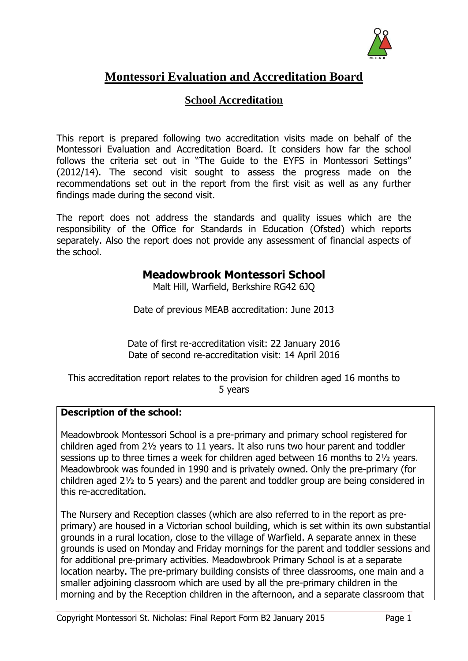

# **Montessori Evaluation and Accreditation Board**

# **School Accreditation**

This report is prepared following two accreditation visits made on behalf of the Montessori Evaluation and Accreditation Board. It considers how far the school follows the criteria set out in "The Guide to the EYFS in Montessori Settings" (2012/14). The second visit sought to assess the progress made on the recommendations set out in the report from the first visit as well as any further findings made during the second visit.

The report does not address the standards and quality issues which are the responsibility of the Office for Standards in Education (Ofsted) which reports separately. Also the report does not provide any assessment of financial aspects of the school.

# **Meadowbrook Montessori School**

Malt Hill, Warfield, Berkshire RG42 6JQ

Date of previous MEAB accreditation: June 2013

Date of first re-accreditation visit: 22 January 2016 Date of second re-accreditation visit: 14 April 2016

This accreditation report relates to the provision for children aged 16 months to 5 years

# **Description of the school:**

Meadowbrook Montessori School is a pre-primary and primary school registered for children aged from 2½ years to 11 years. It also runs two hour parent and toddler sessions up to three times a week for children aged between 16 months to 2½ years. Meadowbrook was founded in 1990 and is privately owned. Only the pre-primary (for children aged 2½ to 5 years) and the parent and toddler group are being considered in this re-accreditation.

The Nursery and Reception classes (which are also referred to in the report as preprimary) are housed in a Victorian school building, which is set within its own substantial grounds in a rural location, close to the village of Warfield. A separate annex in these grounds is used on Monday and Friday mornings for the parent and toddler sessions and for additional pre-primary activities. Meadowbrook Primary School is at a separate location nearby. The pre-primary building consists of three classrooms, one main and a smaller adjoining classroom which are used by all the pre-primary children in the morning and by the Reception children in the afternoon, and a separate classroom that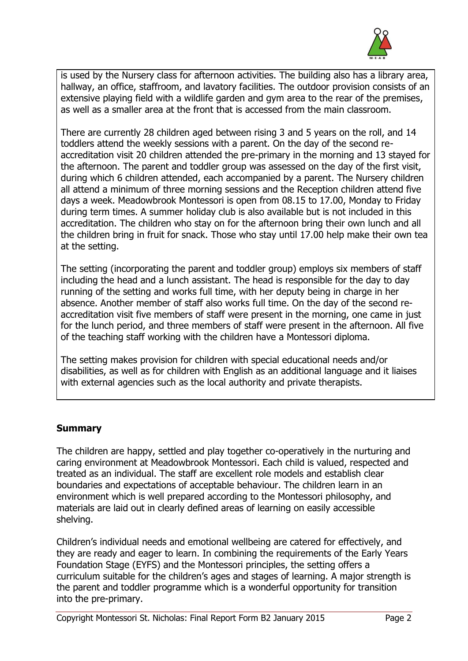

is used by the Nursery class for afternoon activities. The building also has a library area, hallway, an office, staffroom, and lavatory facilities. The outdoor provision consists of an extensive playing field with a wildlife garden and gym area to the rear of the premises, as well as a smaller area at the front that is accessed from the main classroom.

There are currently 28 children aged between rising 3 and 5 years on the roll, and 14 toddlers attend the weekly sessions with a parent. On the day of the second reaccreditation visit 20 children attended the pre-primary in the morning and 13 stayed for the afternoon. The parent and toddler group was assessed on the day of the first visit, during which 6 children attended, each accompanied by a parent. The Nursery children all attend a minimum of three morning sessions and the Reception children attend five days a week. Meadowbrook Montessori is open from 08.15 to 17.00, Monday to Friday during term times. A summer holiday club is also available but is not included in this accreditation. The children who stay on for the afternoon bring their own lunch and all the children bring in fruit for snack. Those who stay until 17.00 help make their own tea at the setting.

The setting (incorporating the parent and toddler group) employs six members of staff including the head and a lunch assistant. The head is responsible for the day to day running of the setting and works full time, with her deputy being in charge in her absence. Another member of staff also works full time. On the day of the second reaccreditation visit five members of staff were present in the morning, one came in just for the lunch period, and three members of staff were present in the afternoon. All five of the teaching staff working with the children have a Montessori diploma.

The setting makes provision for children with special educational needs and/or disabilities, as well as for children with English as an additional language and it liaises with external agencies such as the local authority and private therapists.

# **Summary**

The children are happy, settled and play together co-operatively in the nurturing and caring environment at Meadowbrook Montessori. Each child is valued, respected and treated as an individual. The staff are excellent role models and establish clear boundaries and expectations of acceptable behaviour. The children learn in an environment which is well prepared according to the Montessori philosophy, and materials are laid out in clearly defined areas of learning on easily accessible shelving.

Children's individual needs and emotional wellbeing are catered for effectively, and they are ready and eager to learn. In combining the requirements of the Early Years Foundation Stage (EYFS) and the Montessori principles, the setting offers a curriculum suitable for the children's ages and stages of learning. A major strength is the parent and toddler programme which is a wonderful opportunity for transition into the pre-primary.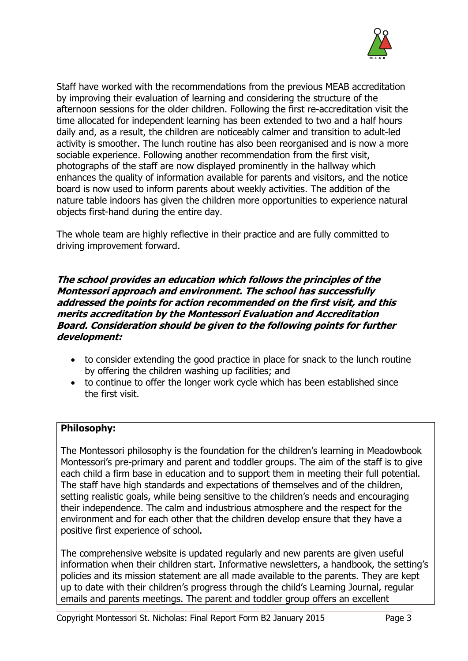

Staff have worked with the recommendations from the previous MEAB accreditation by improving their evaluation of learning and considering the structure of the afternoon sessions for the older children. Following the first re-accreditation visit the time allocated for independent learning has been extended to two and a half hours daily and, as a result, the children are noticeably calmer and transition to adult-led activity is smoother. The lunch routine has also been reorganised and is now a more sociable experience. Following another recommendation from the first visit, photographs of the staff are now displayed prominently in the hallway which enhances the quality of information available for parents and visitors, and the notice board is now used to inform parents about weekly activities. The addition of the nature table indoors has given the children more opportunities to experience natural objects first-hand during the entire day.

The whole team are highly reflective in their practice and are fully committed to driving improvement forward.

#### **The school provides an education which follows the principles of the Montessori approach and environment. The school has successfully addressed the points for action recommended on the first visit, and this merits accreditation by the Montessori Evaluation and Accreditation Board. Consideration should be given to the following points for further development:**

- to consider extending the good practice in place for snack to the lunch routine by offering the children washing up facilities; and
- to continue to offer the longer work cycle which has been established since the first visit.

# **Philosophy:**

The Montessori philosophy is the foundation for the children's learning in Meadowbook Montessori's pre-primary and parent and toddler groups. The aim of the staff is to give each child a firm base in education and to support them in meeting their full potential. The staff have high standards and expectations of themselves and of the children, setting realistic goals, while being sensitive to the children's needs and encouraging their independence. The calm and industrious atmosphere and the respect for the environment and for each other that the children develop ensure that they have a positive first experience of school.

The comprehensive website is updated regularly and new parents are given useful information when their children start. Informative newsletters, a handbook, the setting's policies and its mission statement are all made available to the parents. They are kept up to date with their children's progress through the child's Learning Journal, regular emails and parents meetings. The parent and toddler group offers an excellent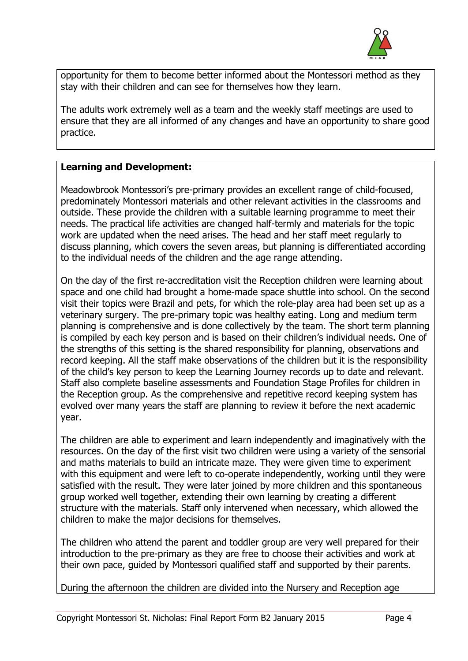

opportunity for them to become better informed about the Montessori method as they stay with their children and can see for themselves how they learn.

The adults work extremely well as a team and the weekly staff meetings are used to ensure that they are all informed of any changes and have an opportunity to share good practice.

# **Learning and Development:**

Meadowbrook Montessori's pre-primary provides an excellent range of child-focused, predominately Montessori materials and other relevant activities in the classrooms and outside. These provide the children with a suitable learning programme to meet their needs. The practical life activities are changed half-termly and materials for the topic work are updated when the need arises. The head and her staff meet regularly to discuss planning, which covers the seven areas, but planning is differentiated according to the individual needs of the children and the age range attending.

On the day of the first re-accreditation visit the Reception children were learning about space and one child had brought a home-made space shuttle into school. On the second visit their topics were Brazil and pets, for which the role-play area had been set up as a veterinary surgery. The pre-primary topic was healthy eating. Long and medium term planning is comprehensive and is done collectively by the team. The short term planning is compiled by each key person and is based on their children's individual needs. One of the strengths of this setting is the shared responsibility for planning, observations and record keeping. All the staff make observations of the children but it is the responsibility of the child's key person to keep the Learning Journey records up to date and relevant. Staff also complete baseline assessments and Foundation Stage Profiles for children in the Reception group. As the comprehensive and repetitive record keeping system has evolved over many years the staff are planning to review it before the next academic year.

The children are able to experiment and learn independently and imaginatively with the resources. On the day of the first visit two children were using a variety of the sensorial and maths materials to build an intricate maze. They were given time to experiment with this equipment and were left to co-operate independently, working until they were satisfied with the result. They were later joined by more children and this spontaneous group worked well together, extending their own learning by creating a different structure with the materials. Staff only intervened when necessary, which allowed the children to make the major decisions for themselves.

The children who attend the parent and toddler group are very well prepared for their introduction to the pre-primary as they are free to choose their activities and work at their own pace, guided by Montessori qualified staff and supported by their parents.

During the afternoon the children are divided into the Nursery and Reception age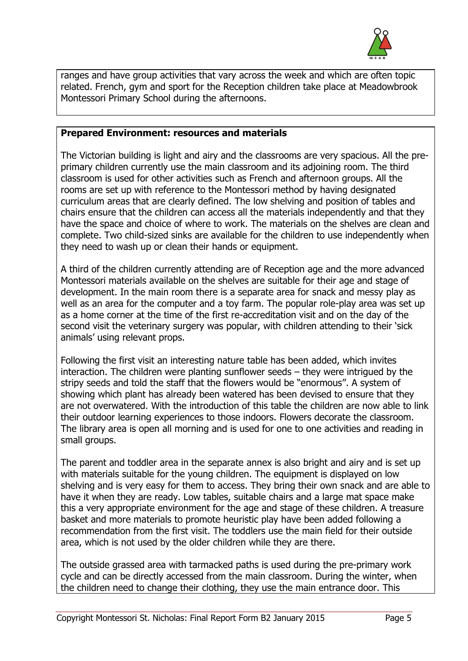

ranges and have group activities that vary across the week and which are often topic related. French, gym and sport for the Reception children take place at Meadowbrook Montessori Primary School during the afternoons.

#### **Prepared Environment: resources and materials**

The Victorian building is light and airy and the classrooms are very spacious. All the preprimary children currently use the main classroom and its adjoining room. The third classroom is used for other activities such as French and afternoon groups. All the rooms are set up with reference to the Montessori method by having designated curriculum areas that are clearly defined. The low shelving and position of tables and chairs ensure that the children can access all the materials independently and that they have the space and choice of where to work. The materials on the shelves are clean and complete. Two child-sized sinks are available for the children to use independently when they need to wash up or clean their hands or equipment.

A third of the children currently attending are of Reception age and the more advanced Montessori materials available on the shelves are suitable for their age and stage of development. In the main room there is a separate area for snack and messy play as well as an area for the computer and a toy farm. The popular role-play area was set up as a home corner at the time of the first re-accreditation visit and on the day of the second visit the veterinary surgery was popular, with children attending to their 'sick animals' using relevant props.

Following the first visit an interesting nature table has been added, which invites interaction. The children were planting sunflower seeds – they were intrigued by the stripy seeds and told the staff that the flowers would be "enormous". A system of showing which plant has already been watered has been devised to ensure that they are not overwatered. With the introduction of this table the children are now able to link their outdoor learning experiences to those indoors. Flowers decorate the classroom. The library area is open all morning and is used for one to one activities and reading in small groups.

The parent and toddler area in the separate annex is also bright and airy and is set up with materials suitable for the young children. The equipment is displayed on low shelving and is very easy for them to access. They bring their own snack and are able to have it when they are ready. Low tables, suitable chairs and a large mat space make this a very appropriate environment for the age and stage of these children. A treasure basket and more materials to promote heuristic play have been added following a recommendation from the first visit. The toddlers use the main field for their outside area, which is not used by the older children while they are there.

The outside grassed area with tarmacked paths is used during the pre-primary work cycle and can be directly accessed from the main classroom. During the winter, when the children need to change their clothing, they use the main entrance door. This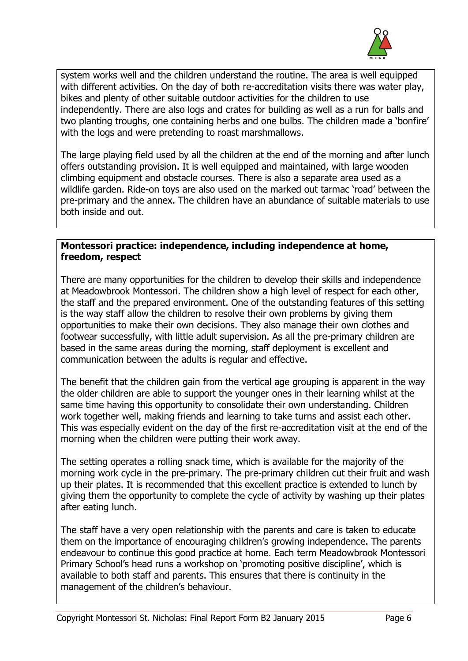

system works well and the children understand the routine. The area is well equipped with different activities. On the day of both re-accreditation visits there was water play, bikes and plenty of other suitable outdoor activities for the children to use independently. There are also logs and crates for building as well as a run for balls and two planting troughs, one containing herbs and one bulbs. The children made a 'bonfire' with the logs and were pretending to roast marshmallows.

The large playing field used by all the children at the end of the morning and after lunch offers outstanding provision. It is well equipped and maintained, with large wooden climbing equipment and obstacle courses. There is also a separate area used as a wildlife garden. Ride-on toys are also used on the marked out tarmac 'road' between the pre-primary and the annex. The children have an abundance of suitable materials to use both inside and out.

#### **Montessori practice: independence, including independence at home, freedom, respect**

There are many opportunities for the children to develop their skills and independence at Meadowbrook Montessori. The children show a high level of respect for each other, the staff and the prepared environment. One of the outstanding features of this setting is the way staff allow the children to resolve their own problems by giving them opportunities to make their own decisions. They also manage their own clothes and footwear successfully, with little adult supervision. As all the pre-primary children are based in the same areas during the morning, staff deployment is excellent and communication between the adults is regular and effective.

The benefit that the children gain from the vertical age grouping is apparent in the way the older children are able to support the younger ones in their learning whilst at the same time having this opportunity to consolidate their own understanding. Children work together well, making friends and learning to take turns and assist each other. This was especially evident on the day of the first re-accreditation visit at the end of the morning when the children were putting their work away.

The setting operates a rolling snack time, which is available for the majority of the morning work cycle in the pre-primary. The pre-primary children cut their fruit and wash up their plates. It is recommended that this excellent practice is extended to lunch by giving them the opportunity to complete the cycle of activity by washing up their plates after eating lunch.

The staff have a very open relationship with the parents and care is taken to educate them on the importance of encouraging children's growing independence. The parents endeavour to continue this good practice at home. Each term Meadowbrook Montessori Primary School's head runs a workshop on 'promoting positive discipline', which is available to both staff and parents. This ensures that there is continuity in the management of the children's behaviour.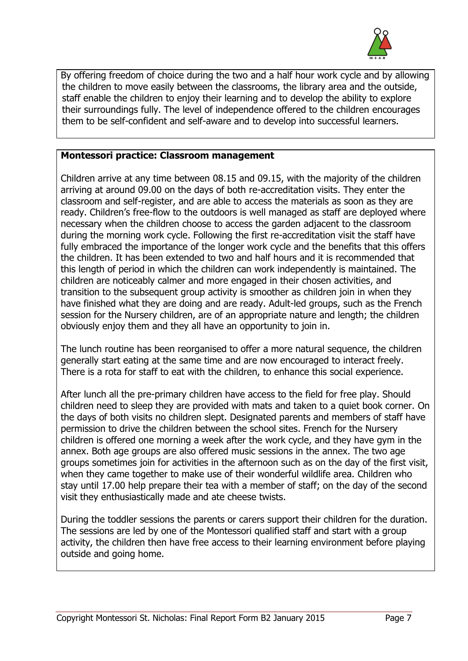

By offering freedom of choice during the two and a half hour work cycle and by allowing the children to move easily between the classrooms, the library area and the outside, staff enable the children to enjoy their learning and to develop the ability to explore their surroundings fully. The level of independence offered to the children encourages them to be self-confident and self-aware and to develop into successful learners.

# **Montessori practice: Classroom management**

Children arrive at any time between 08.15 and 09.15, with the majority of the children arriving at around 09.00 on the days of both re-accreditation visits. They enter the classroom and self-register, and are able to access the materials as soon as they are ready. Children's free-flow to the outdoors is well managed as staff are deployed where necessary when the children choose to access the garden adjacent to the classroom during the morning work cycle. Following the first re-accreditation visit the staff have fully embraced the importance of the longer work cycle and the benefits that this offers the children. It has been extended to two and half hours and it is recommended that this length of period in which the children can work independently is maintained. The children are noticeably calmer and more engaged in their chosen activities, and transition to the subsequent group activity is smoother as children join in when they have finished what they are doing and are ready. Adult-led groups, such as the French session for the Nursery children, are of an appropriate nature and length; the children obviously enjoy them and they all have an opportunity to join in.

The lunch routine has been reorganised to offer a more natural sequence, the children generally start eating at the same time and are now encouraged to interact freely. There is a rota for staff to eat with the children, to enhance this social experience.

After lunch all the pre-primary children have access to the field for free play. Should children need to sleep they are provided with mats and taken to a quiet book corner. On the days of both visits no children slept. Designated parents and members of staff have permission to drive the children between the school sites. French for the Nursery children is offered one morning a week after the work cycle, and they have gym in the annex. Both age groups are also offered music sessions in the annex. The two age groups sometimes join for activities in the afternoon such as on the day of the first visit, when they came together to make use of their wonderful wildlife area. Children who stay until 17.00 help prepare their tea with a member of staff; on the day of the second visit they enthusiastically made and ate cheese twists.

During the toddler sessions the parents or carers support their children for the duration. The sessions are led by one of the Montessori qualified staff and start with a group activity, the children then have free access to their learning environment before playing outside and going home.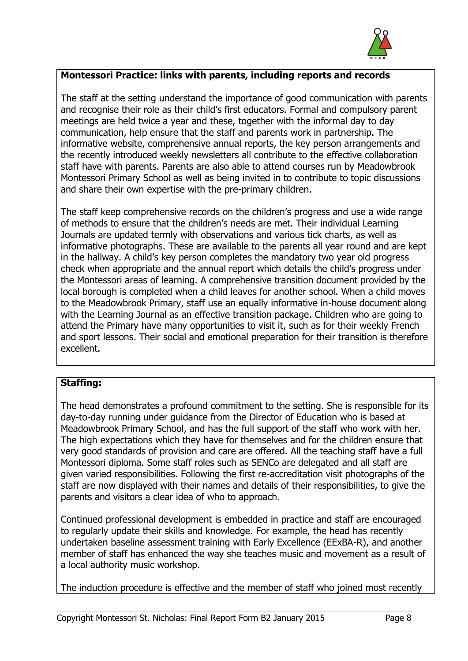

# **Montessori Practice: links with parents, including reports and records**

The staff at the setting understand the importance of good communication with parents and recognise their role as their child's first educators. Formal and compulsory parent meetings are held twice a year and these, together with the informal day to day communication, help ensure that the staff and parents work in partnership. The informative website, comprehensive annual reports, the key person arrangements and the recently introduced weekly newsletters all contribute to the effective collaboration staff have with parents. Parents are also able to attend courses run by Meadowbrook Montessori Primary School as well as being invited in to contribute to topic discussions and share their own expertise with the pre-primary children.

The staff keep comprehensive records on the children's progress and use a wide range of methods to ensure that the children's needs are met. Their individual Learning Journals are updated termly with observations and various tick charts, as well as informative photographs. These are available to the parents all year round and are kept in the hallway. A child's key person completes the mandatory two year old progress check when appropriate and the annual report which details the child's progress under the Montessori areas of learning. A comprehensive transition document provided by the local borough is completed when a child leaves for another school. When a child moves to the Meadowbrook Primary, staff use an equally informative in-house document along with the Learning Journal as an effective transition package. Children who are going to attend the Primary have many opportunities to visit it, such as for their weekly French and sport lessons. Their social and emotional preparation for their transition is therefore excellent.

# **Staffing:**

The head demonstrates a profound commitment to the setting. She is responsible for its day-to-day running under guidance from the Director of Education who is based at Meadowbrook Primary School, and has the full support of the staff who work with her. The high expectations which they have for themselves and for the children ensure that very good standards of provision and care are offered. All the teaching staff have a full Montessori diploma. Some staff roles such as SENCo are delegated and all staff are given varied responsibilities. Following the first re-accreditation visit photographs of the staff are now displayed with their names and details of their responsibilities, to give the parents and visitors a clear idea of who to approach.

Continued professional development is embedded in practice and staff are encouraged to regularly update their skills and knowledge. For example, the head has recently undertaken baseline assessment training with Early Excellence (EExBA-R), and another member of staff has enhanced the way she teaches music and movement as a result of a local authority music workshop.

The induction procedure is effective and the member of staff who joined most recently